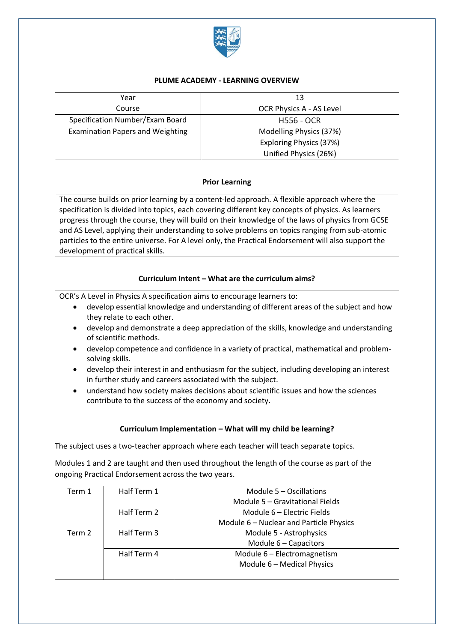

### **PLUME ACADEMY - LEARNING OVERVIEW**

| Year                                    | 13                       |
|-----------------------------------------|--------------------------|
| Course                                  | OCR Physics A - AS Level |
| Specification Number/Exam Board         | <b>H556 - OCR</b>        |
| <b>Examination Papers and Weighting</b> | Modelling Physics (37%)  |
|                                         | Exploring Physics (37%)  |
|                                         | Unified Physics (26%)    |

## **Prior Learning**

The course builds on prior learning by a content-led approach. A flexible approach where the specification is divided into topics, each covering different key concepts of physics. As learners progress through the course, they will build on their knowledge of the laws of physics from GCSE and AS Level, applying their understanding to solve problems on topics ranging from sub-atomic particles to the entire universe. For A level only, the Practical Endorsement will also support the development of practical skills.

## **Curriculum Intent – What are the curriculum aims?**

OCR's A Level in Physics A specification aims to encourage learners to:

- develop essential knowledge and understanding of different areas of the subject and how they relate to each other.
- develop and demonstrate a deep appreciation of the skills, knowledge and understanding of scientific methods.
- develop competence and confidence in a variety of practical, mathematical and problemsolving skills.
- develop their interest in and enthusiasm for the subject, including developing an interest in further study and careers associated with the subject.
- understand how society makes decisions about scientific issues and how the sciences contribute to the success of the economy and society.

# **Curriculum Implementation – What will my child be learning?**

The subject uses a two-teacher approach where each teacher will teach separate topics.

Modules 1 and 2 are taught and then used throughout the length of the course as part of the ongoing Practical Endorsement across the two years.

| Term 1 | Half Term 1 | Module 5 – Oscillations                 |
|--------|-------------|-----------------------------------------|
|        |             | Module 5 - Gravitational Fields         |
|        | Half Term 2 | Module 6 - Electric Fields              |
|        |             | Module 6 - Nuclear and Particle Physics |
| Term 2 | Half Term 3 | Module 5 - Astrophysics                 |
|        |             | Module 6 - Capacitors                   |
|        | Half Term 4 | Module 6 - Electromagnetism             |
|        |             | Module 6 - Medical Physics              |
|        |             |                                         |